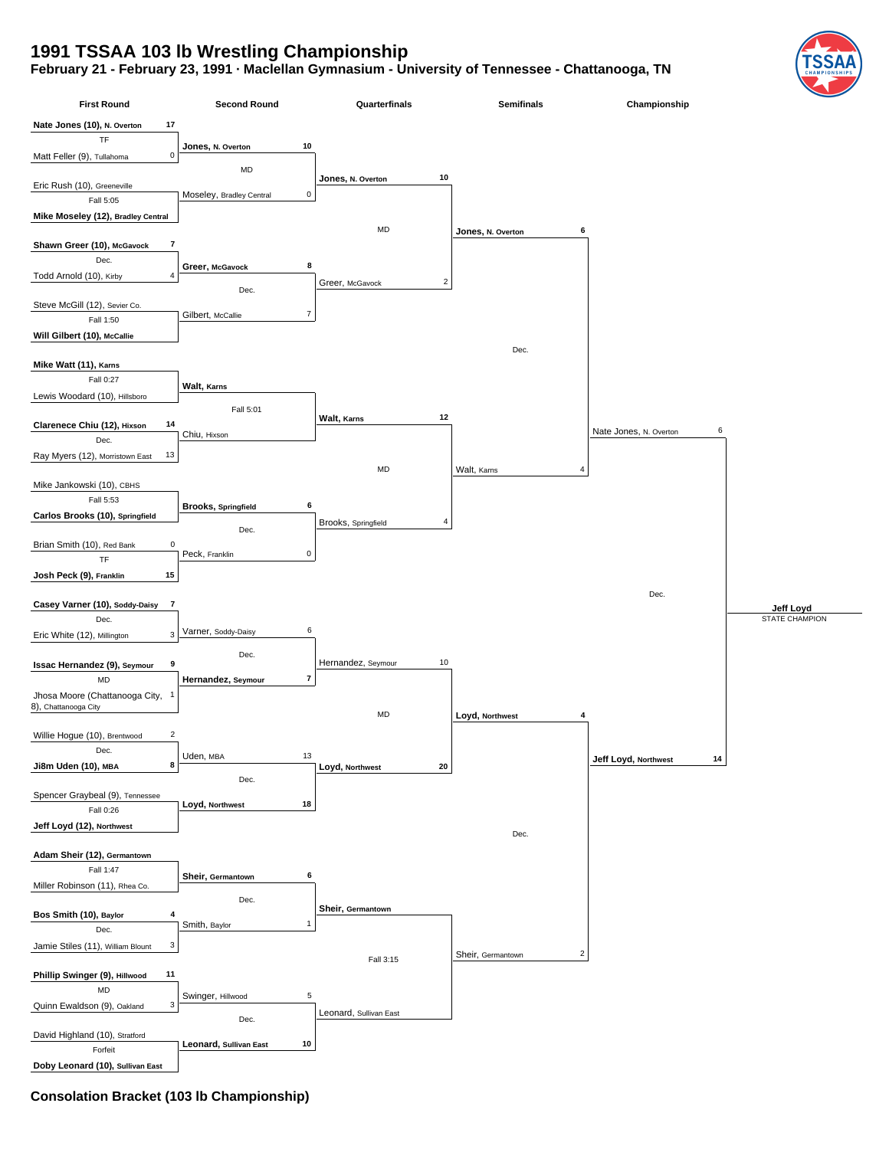## **1991 TSSAA 103 lb Wrestling Championship**

**February 21 - February 23, 1991 · Maclellan Gymnasium - University of Tennessee - Chattanooga, TN**



**Consolation Bracket (103 lb Championship)**